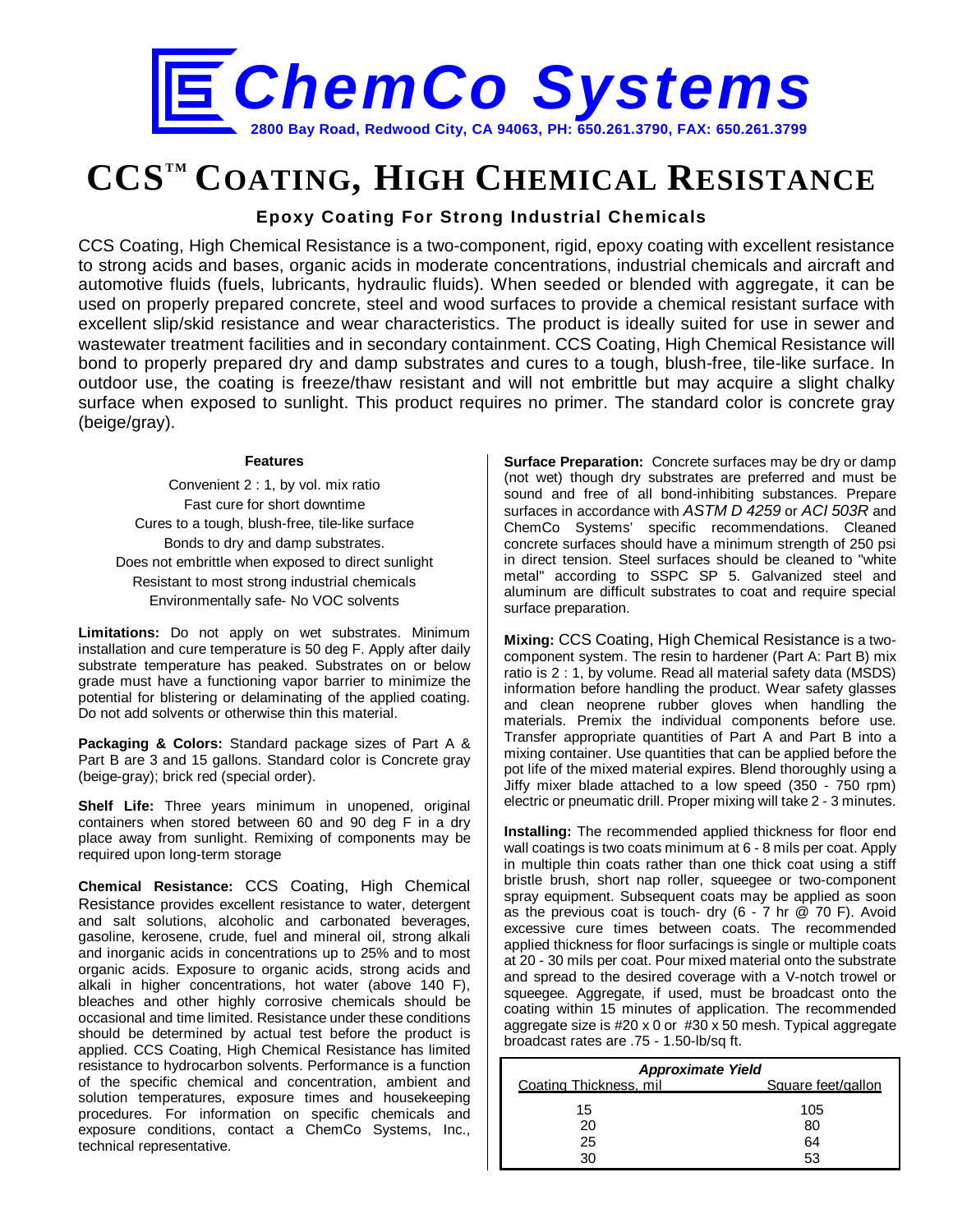

# **CCSTM COATING, HIGH CHEMICAL RESISTANCE**

## **Epoxy Coating For Strong Industrial Chemicals**

CCS Coating, High Chemical Resistance is a two-component, rigid, epoxy coating with excellent resistance to strong acids and bases, organic acids in moderate concentrations, industrial chemicals and aircraft and automotive fluids (fuels, lubricants, hydraulic fluids). When seeded or blended with aggregate, it can be used on properly prepared concrete, steel and wood surfaces to provide a chemical resistant surface with excellent slip/skid resistance and wear characteristics. The product is ideally suited for use in sewer and wastewater treatment facilities and in secondary containment. CCS Coating, High Chemical Resistance will bond to properly prepared dry and damp substrates and cures to a tough, blush-free, tile-like surface. In outdoor use, the coating is freeze/thaw resistant and will not embrittle but may acquire a slight chalky surface when exposed to sunlight. This product requires no primer. The standard color is concrete gray (beige/gray).

#### **Features**

Convenient 2 : 1, by vol. mix ratio Fast cure for short downtime Cures to a tough, blush-free, tile-like surface Bonds to dry and damp substrates. Does not embrittle when exposed to direct sunlight Resistant to most strong industrial chemicals Environmentally safe- No VOC solvents

**Limitations:** Do not apply on wet substrates. Minimum installation and cure temperature is 50 deg F. Apply after daily substrate temperature has peaked. Substrates on or below grade must have a functioning vapor barrier to minimize the potential for blistering or delaminating of the applied coating. Do not add solvents or otherwise thin this material.

**Packaging & Colors:** Standard package sizes of Part A & Part B are 3 and 15 gallons. Standard color is Concrete gray (beige-gray); brick red (special order).

**Shelf Life:** Three years minimum in unopened, original containers when stored between 60 and 90 deg F in a dry place away from sunlight. Remixing of components may be required upon long-term storage

**Chemical Resistance:** CCS Coating, High Chemical Resistance provides excellent resistance to water, detergent and salt solutions, alcoholic and carbonated beverages, gasoline, kerosene, crude, fuel and mineral oil, strong alkali and inorganic acids in concentrations up to 25% and to most organic acids. Exposure to organic acids, strong acids and alkali in higher concentrations, hot water (above 140 F), bleaches and other highly corrosive chemicals should be occasional and time limited. Resistance under these conditions should be determined by actual test before the product is applied. CCS Coating, High Chemical Resistance has limited resistance to hydrocarbon solvents. Performance is a function of the specific chemical and concentration, ambient and solution temperatures, exposure times and housekeeping procedures. For information on specific chemicals and exposure conditions, contact a ChemCo Systems, Inc., technical representative.

**Surface Preparation:** Concrete surfaces may be dry or damp (not wet) though dry substrates are preferred and must be sound and free of all bond-inhibiting substances. Prepare surfaces in accordance with *ASTM D 4259* or *ACI 503R* and ChemCo Systems' specific recommendations. Cleaned concrete surfaces should have a minimum strength of 250 psi in direct tension. Steel surfaces should be cleaned to "white metal" according to SSPC SP 5. Galvanized steel and aluminum are difficult substrates to coat and require special surface preparation.

**Mixing:** CCS Coating, High Chemical Resistance is a twocomponent system. The resin to hardener (Part A: Part B) mix ratio is 2 : 1, by volume. Read all material safety data (MSDS) information before handling the product. Wear safety glasses and clean neoprene rubber gloves when handling the materials. Premix the individual components before use. Transfer appropriate quantities of Part A and Part B into a mixing container. Use quantities that can be applied before the pot life of the mixed material expires. Blend thoroughly using a Jiffy mixer blade attached to a low speed (350 - 750 rpm) electric or pneumatic drill. Proper mixing will take 2 - 3 minutes.

**Installing:** The recommended applied thickness for floor end wall coatings is two coats minimum at 6 - 8 mils per coat. Apply in multiple thin coats rather than one thick coat using a stiff bristle brush, short nap roller, squeegee or two-component spray equipment. Subsequent coats may be applied as soon as the previous coat is touch- dry  $(6 - 7)$  hr  $(270)$  F). Avoid excessive cure times between coats. The recommended applied thickness for floor surfacings is single or multiple coats at 20 - 30 mils per coat. Pour mixed material onto the substrate and spread to the desired coverage with a V-notch trowel or squeegee. Aggregate, if used, must be broadcast onto the coating within 15 minutes of application. The recommended aggregate size is #20 x 0 or #30 x 50 mesh. Typical aggregate broadcast rates are .75 - 1.50-lb/sq ft.

| <b>Approximate Yield</b> |                    |  |  |
|--------------------------|--------------------|--|--|
| Coating Thickness, mil.  | Square feet/gallon |  |  |
| 15                       | 105                |  |  |
| 20                       | 80                 |  |  |
| 25                       | 64                 |  |  |
| 30                       | 53                 |  |  |